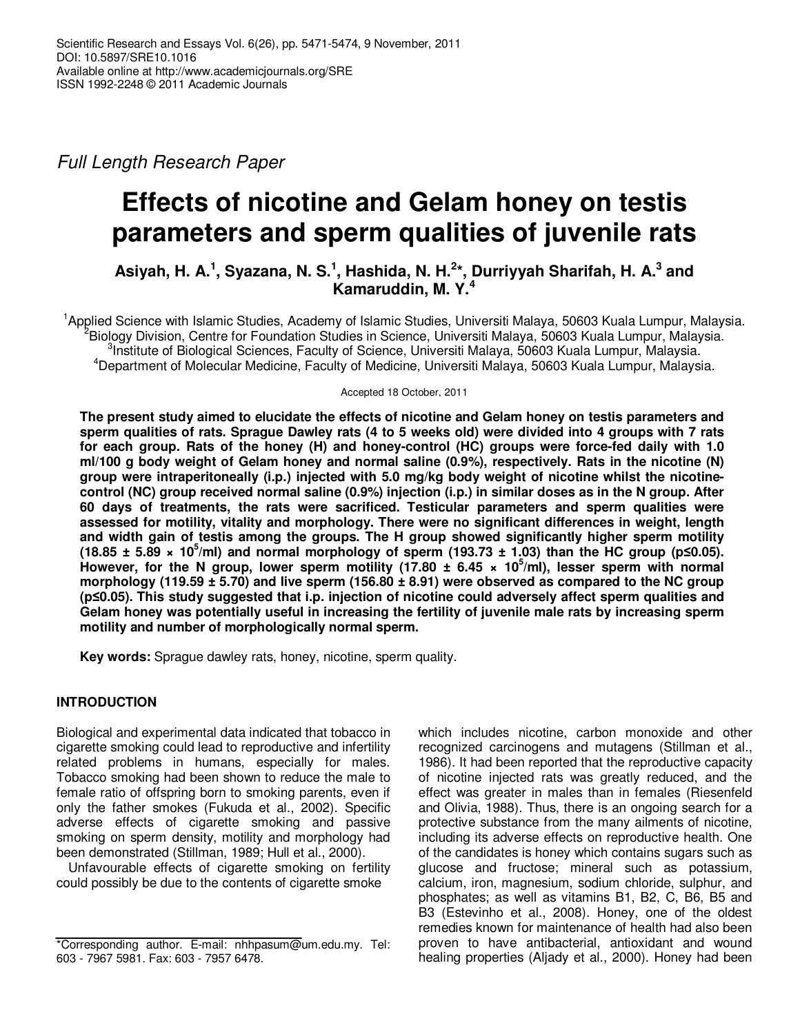Full Length Research Paper

# **Effects of nicotine and Gelam honey on testis parameters and sperm qualities of juvenile rats**

**Asiyah, H. A.<sup>1</sup> , Syazana, N. S.<sup>1</sup> , Hashida, N. H.<sup>2</sup> \*, Durriyyah Sharifah, H. A.<sup>3</sup> and Kamaruddin, M. Y.<sup>4</sup>**

<sup>1</sup>Applied Science with Islamic Studies, Academy of Islamic Studies, Universiti Malaya, 50603 Kuala Lumpur, Malaysia. <sup>2</sup>Biology Division, Centre for Foundation Studies in Science, Universiti Malaya, 50603 Kuala Lumpur, Malaysia. <sup>3</sup>Institute of Biological Sciences, Faculty of Science, Universiti Malaya, 50603 Kuala Lumpur, Malaysia. <sup>4</sup>Department of Molecular Medicine, Faculty of Medicine, Universiti Malaya, 50603 Kuala Lumpur, Malaysia.

Accepted 18 October, 2011

**The present study aimed to elucidate the effects of nicotine and Gelam honey on testis parameters and sperm qualities of rats. Sprague Dawley rats (4 to 5 weeks old) were divided into 4 groups with 7 rats for each group. Rats of the honey (H) and honey-control (HC) groups were force-fed daily with 1.0 ml/100 g body weight of Gelam honey and normal saline (0.9%), respectively. Rats in the nicotine (N) group were intraperitoneally (i.p.) injected with 5.0 mg/kg body weight of nicotine whilst the nicotinecontrol (NC) group received normal saline (0.9%) injection (i.p.) in similar doses as in the N group. After 60 days of treatments, the rats were sacrificed. Testicular parameters and sperm qualities were assessed for motility, vitality and morphology. There were no significant differences in weight, length and width gain of testis among the groups. The H group showed significantly higher sperm motility (18.85 ± 5.89 × 10<sup>5</sup>/ml) and normal morphology of sperm (193.73 ± 1.03) than the HC group (p≤0.05). However, for the N group, lower sperm motility (17.80 ± 6.45 × 10<sup>5</sup> /ml), lesser sperm with normal morphology (119.59 ± 5.70) and live sperm (156.80 ± 8.91) were observed as compared to the NC group (p≤0.05). This study suggested that i.p. injection of nicotine could adversely affect sperm qualities and Gelam honey was potentially useful in increasing the fertility of juvenile male rats by increasing sperm motility and number of morphologically normal sperm.** 

**Key words:** Sprague dawley rats, honey, nicotine, sperm quality.

### **INTRODUCTION**

Biological and experimental data indicated that tobacco in cigarette smoking could lead to reproductive and infertility related problems in humans, especially for males. Tobacco smoking had been shown to reduce the male to female ratio of offspring born to smoking parents, even if only the father smokes (Fukuda et al., 2002). Specific adverse effects of cigarette smoking and passive smoking on sperm density, motility and morphology had been demonstrated (Stillman, 1989; Hull et al., 2000).

Unfavourable effects of cigarette smoking on fertility could possibly be due to the contents of cigarette smoke

which includes nicotine, carbon monoxide and other recognized carcinogens and mutagens (Stillman et al., 1986). It had been reported that the reproductive capacity of nicotine injected rats was greatly reduced, and the effect was greater in males than in females (Riesenfeld and Olivia, 1988). Thus, there is an ongoing search for a protective substance from the many ailments of nicotine, including its adverse effects on reproductive health. One of the candidates is honey which contains sugars such as glucose and fructose; mineral such as potassium, calcium, iron, magnesium, sodium chloride, sulphur, and phosphates; as well as vitamins B1, B2, C, B6, B5 and B3 (Estevinho et al., 2008). Honey, one of the oldest remedies known for maintenance of health had also been proven to have antibacterial, antioxidant and wound healing properties (Aljady et al., 2000). Honey had been

<sup>\*</sup>Corresponding author. E-mail: nhhpasum@um.edu.my. Tel: 603 - 7967 5981. Fax: 603 - 7957 6478.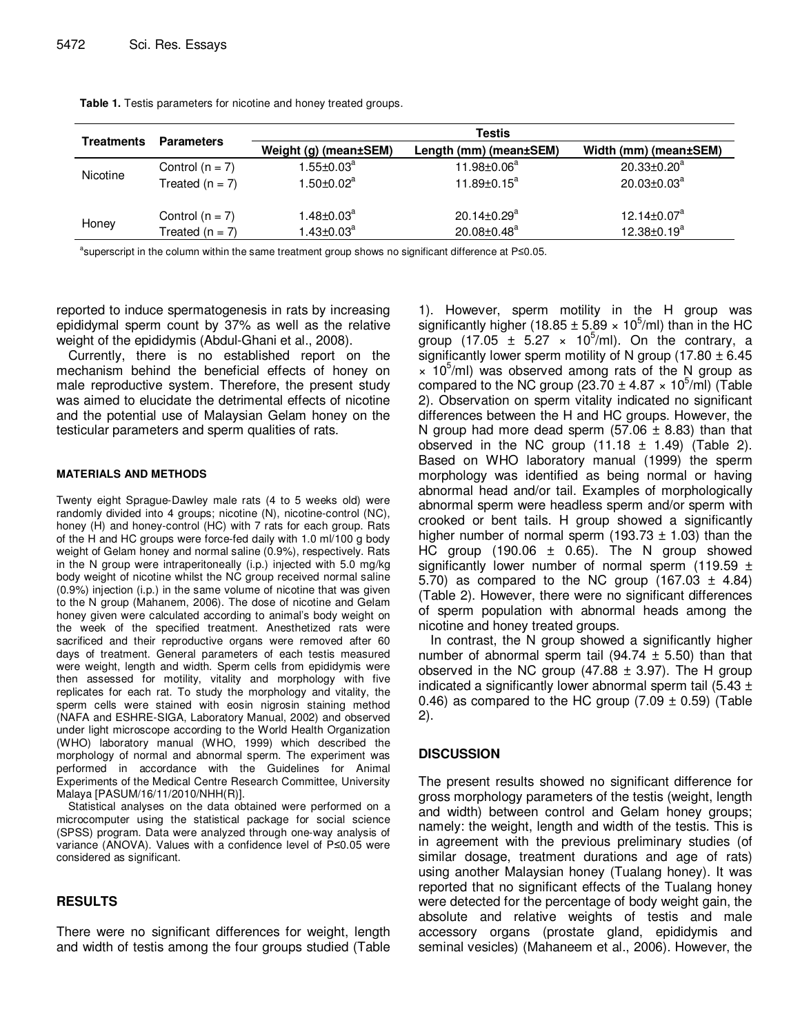| <b>Treatments</b> | <b>Parameters</b> | Testis                     |                               |                       |  |  |
|-------------------|-------------------|----------------------------|-------------------------------|-----------------------|--|--|
|                   |                   | Weight (g) (mean±SEM)      | Length (mm) (mean±SEM)        | Width (mm) (mean±SEM) |  |  |
| Nicotine          | Control $(n = 7)$ | $1.55 \pm 0.03^a$          | 11.98±0.06 <sup>a</sup>       | $20.33 \pm 0.20^a$    |  |  |
|                   | Treated $(n = 7)$ | 1.50 $\pm$ 0.02 $^{\rm a}$ | $11.89 \pm 0.15^a$            | $20.03 \pm 0.03^a$    |  |  |
|                   | Control $(n = 7)$ | $1.48 \pm 0.03^a$          | $20.14 \pm 0.29$ <sup>a</sup> | $12.14 \pm 0.07^a$    |  |  |
| Honey             | Treated $(n = 7)$ | 1.43 $\pm$ 0.03 $^{\rm a}$ | 20.08±0.48 <sup>a</sup>       | $12.38 \pm 0.19^a$    |  |  |

Table 1. Testis parameters for nicotine and honey treated groups.

<sup>a</sup>superscript in the column within the same treatment group shows no significant difference at P≤0.05.

reported to induce spermatogenesis in rats by increasing epididymal sperm count by 37% as well as the relative weight of the epididymis (Abdul-Ghani et al., 2008).

Currently, there is no established report on the mechanism behind the beneficial effects of honey on male reproductive system. Therefore, the present study was aimed to elucidate the detrimental effects of nicotine and the potential use of Malaysian Gelam honey on the testicular parameters and sperm qualities of rats.

#### **MATERIALS AND METHODS**

Twenty eight Sprague-Dawley male rats (4 to 5 weeks old) were randomly divided into 4 groups; nicotine (N), nicotine-control (NC), honey (H) and honey-control (HC) with 7 rats for each group. Rats of the H and HC groups were force-fed daily with 1.0 ml/100 g body weight of Gelam honey and normal saline (0.9%), respectively. Rats in the N group were intraperitoneally (i.p.) injected with 5.0 mg/kg body weight of nicotine whilst the NC group received normal saline (0.9%) injection (i.p.) in the same volume of nicotine that was given to the N group (Mahanem, 2006). The dose of nicotine and Gelam honey given were calculated according to animal's body weight on the week of the specified treatment. Anesthetized rats were sacrificed and their reproductive organs were removed after 60 days of treatment. General parameters of each testis measured were weight, length and width. Sperm cells from epididymis were then assessed for motility, vitality and morphology with five replicates for each rat. To study the morphology and vitality, the sperm cells were stained with eosin nigrosin staining method (NAFA and ESHRE-SIGA, Laboratory Manual, 2002) and observed under light microscope according to the World Health Organization (WHO) laboratory manual (WHO, 1999) which described the morphology of normal and abnormal sperm. The experiment was performed in accordance with the Guidelines for Animal Experiments of the Medical Centre Research Committee, University Malaya [PASUM/16/11/2010/NHH(R)].

Statistical analyses on the data obtained were performed on a microcomputer using the statistical package for social science (SPSS) program. Data were analyzed through one-way analysis of variance (ANOVA). Values with a confidence level of P≤0.05 were considered as significant.

## **RESULTS**

There were no significant differences for weight, length and width of testis among the four groups studied (Table

1). However, sperm motility in the H group was significantly higher (18.85  $\pm$  5.89  $\times$  10<sup>5</sup>/ml) than in the HC group  $(17.05 \pm 5.27 \times 10^5$ /ml). On the contrary, a significantly lower sperm motility of N group (17.80  $\pm$  6.45  $\times$  10<sup>5</sup>/ml) was observed among rats of the N group as compared to the NC group (23.70  $\pm$  4.87  $\times$  10<sup>5</sup>/ml) (Table 2). Observation on sperm vitality indicated no significant differences between the H and HC groups. However, the N group had more dead sperm  $(57.06 \pm 8.83)$  than that observed in the NC group  $(11.18 \pm 1.49)$  (Table 2). Based on WHO laboratory manual (1999) the sperm morphology was identified as being normal or having abnormal head and/or tail. Examples of morphologically abnormal sperm were headless sperm and/or sperm with crooked or bent tails. H group showed a significantly higher number of normal sperm (193.73  $\pm$  1.03) than the HC group  $(190.06 \pm 0.65)$ . The N group showed significantly lower number of normal sperm (119.59  $\pm$ 5.70) as compared to the NC group  $(167.03 \pm 4.84)$ (Table 2). However, there were no significant differences of sperm population with abnormal heads among the nicotine and honey treated groups.

In contrast, the N group showed a significantly higher number of abnormal sperm tail (94.74  $\pm$  5.50) than that observed in the NC group  $(47.88 \pm 3.97)$ . The H group indicated a significantly lower abnormal sperm tail  $(5.43 \pm$ 0.46) as compared to the HC group  $(7.09 \pm 0.59)$  (Table 2).

### **DISCUSSION**

The present results showed no significant difference for gross morphology parameters of the testis (weight, length and width) between control and Gelam honey groups; namely: the weight, length and width of the testis. This is in agreement with the previous preliminary studies (of similar dosage, treatment durations and age of rats) using another Malaysian honey (Tualang honey). It was reported that no significant effects of the Tualang honey were detected for the percentage of body weight gain, the absolute and relative weights of testis and male accessory organs (prostate gland, epididymis and seminal vesicles) (Mahaneem et al., 2006). However, the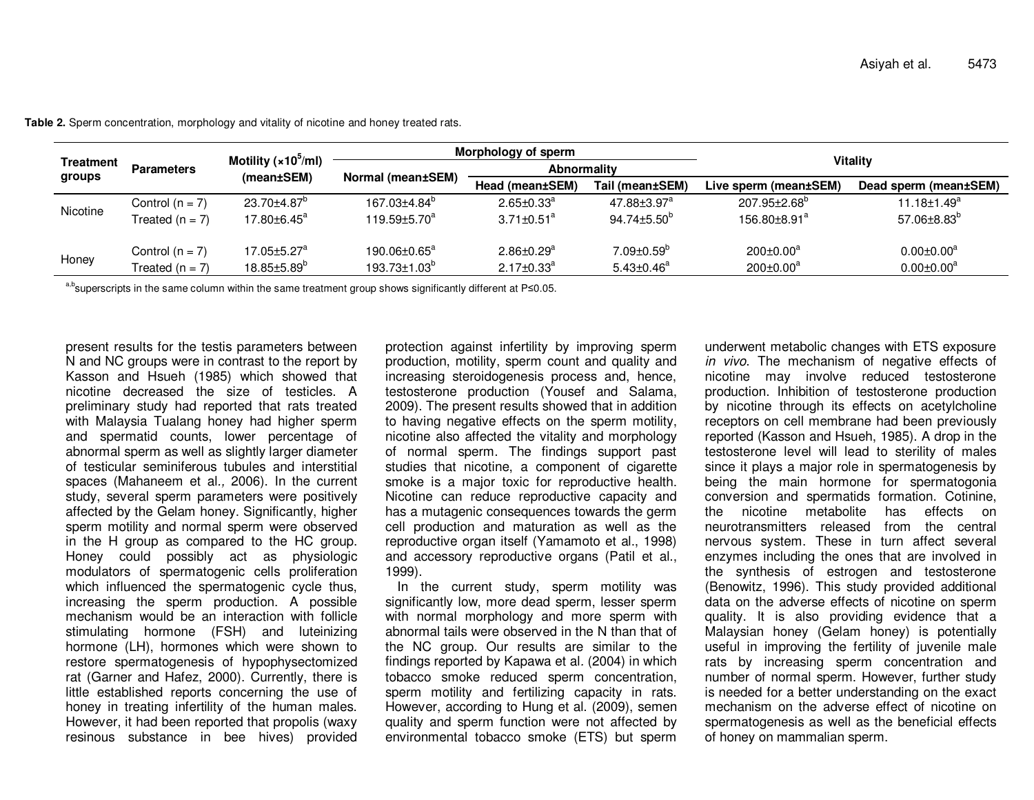| <b>Treatment</b><br>groups | <b>Parameters</b>                      | Motility ( $\times$ 10 <sup>5</sup> /ml)<br>(mean±SEM)         | Morphology of sperm                                   |                                                              |                                                           |                                                           |                                          |
|----------------------------|----------------------------------------|----------------------------------------------------------------|-------------------------------------------------------|--------------------------------------------------------------|-----------------------------------------------------------|-----------------------------------------------------------|------------------------------------------|
|                            |                                        |                                                                | Normal (mean±SEM)                                     | <b>Abnormality</b>                                           |                                                           | Vitality                                                  |                                          |
|                            |                                        |                                                                |                                                       | Head (mean±SEM)                                              | Tail (mean±SEM)                                           | Live sperm (mean±SEM)                                     | Dead sperm (mean±SEM)                    |
| Nicotine                   | Control $(n = 7)$<br>Treated $(n = 7)$ | 23.70±4.87 <sup>°</sup><br>$17.80 \pm 6.45^{\circ}$            | $167.03 + 4.84^{\circ}$<br>$119.59 \pm 5.70^a$        | $2.65 \pm 0.33$ <sup>a</sup><br>$3.71 \pm 0.51$ <sup>a</sup> | $47.88 \pm 3.97$ <sup>a</sup><br>$94.74 \pm 5.50^{\circ}$ | $207.95 \pm 2.68^{\circ}$<br>$156.80 + 8.91$ <sup>a</sup> | $11.18 \pm 1.49^a$<br>$57.06\pm8.83^{b}$ |
| Honey                      | Control $(n = 7)$<br>Treated $(n = 7)$ | $17.05 \pm 5.27$ <sup>a</sup><br>$18.85 \pm 5.89$ <sup>o</sup> | 190.06±0.65 <sup>a</sup><br>$193.73{\pm}1.03^{\circ}$ | $2.86 \pm 0.29$ <sup>a</sup><br>$2.17 \pm 0.33$ <sup>a</sup> | $7.09 \pm 0.59$ <sup>b</sup><br>$5.43 \pm 0.46^a$         | $200 \pm 0.00^a$<br>$200 \pm 0.00^a$                      | $0.00 \pm 0.00^a$<br>$0.00 \pm 0.00^a$   |

**Table 2.** Sperm concentration, morphology and vitality of nicotine and honey treated rats.

a,bsuperscripts in the same column within the same treatment group shows significantly different at P≤0.05.

present results for the testis parameters between N and NC groups were in contrast to the report by Kasson and Hsueh (1985) which showed that nicotine decreased the size of testicles. A preliminary study had reported that rats treated with Malaysia Tualang honey had higher sperm and spermatid counts, lower percentage of abnormal sperm as well as slightly larger diameter of testicular seminiferous tubules and interstitial spaces (Mahaneem et al., 2006). In the current study, several sperm parameters were positively affected by the Gelam honey. Significantly, higher sperm motility and normal sperm were observed in the H group as compared to the HC group. Honey could possibly act as physiologic modulators of spermatogenic cells proliferation which influenced the spermatogenic cycle thus, increasing the sperm production. A possible mechanism would be an interaction with follicle stimulating hormone (FSH) and luteinizing hormone (LH), hormones which were shown to restore spermatogenesis of hypophysectomized rat (Garner and Hafez, 2000). Currently, there is little established reports concerning the use of honey in treating infertility of the human males. However, it had been reported that propolis (waxy resinous substance in bee hives) provided protection against infertility by improving sperm production, motility, sperm count and quality and increasing steroidogenesis process and, hence, testosterone production (Yousef and Salama, 2009). The present results showed that in addition to having negative effects on the sperm motility, nicotine also affected the vitality and morphology of normal sperm. The findings support past studies that nicotine, a component of cigarette smoke is a major toxic for reproductive health. Nicotine can reduce reproductive capacity and has a mutagenic consequences towards the germ cell production and maturation as well as the reproductive organ itself (Yamamoto et al., 1998) and accessory reproductive organs (Patil et al., 1999).

 In the current study, sperm motility was significantly low, more dead sperm, lesser sperm with normal morphology and more sperm with abnormal tails were observed in the N than that of the NC group. Our results are similar to the findings reported by Kapawa et al. (2004) in which tobacco smoke reduced sperm concentration, sperm motility and fertilizing capacity in rats. However, according to Hung et al. (2009), semen quality and sperm function were not affected by environmental tobacco smoke (ETS) but sperm underwent metabolic changes with ETS exposure in vivo. The mechanism of negative effects of nicotine may involve reduced testosterone production. Inhibition of testosterone production by nicotine through its effects on acetylcholine receptors on cell membrane had been previously reported (Kasson and Hsueh, 1985). A drop in the testosterone level will lead to sterility of males since it plays a major role in spermatogenesis by being the main hormone for spermatogonia conversion and spermatids formation. Cotinine, the nicotine metabolite has effects on neurotransmitters released from the central nervous system. These in turn affect several enzymes including the ones that are involved in the synthesis of estrogen and testosterone (Benowitz, 1996). This study provided additional data on the adverse effects of nicotine on sperm quality. It is also providing evidence that a Malaysian honey (Gelam honey) is potentially useful in improving the fertility of juvenile male rats by increasing sperm concentration and number of normal sperm. However, further study is needed for a better understanding on the exact mechanism on the adverse effect of nicotine on spermatogenesis as well as the beneficial effects of honey on mammalian sperm.